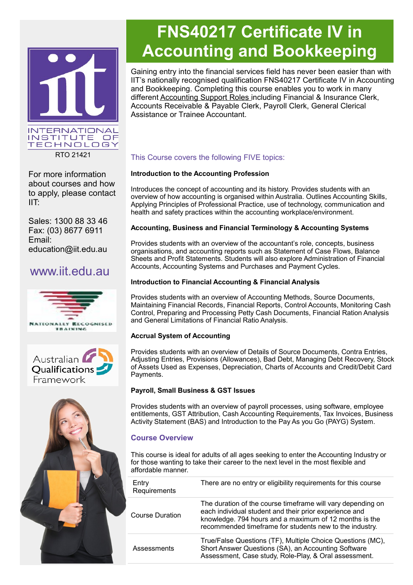

For more information about courses and how to apply, please contact IIT:

Sales: 1300 88 33 46 Fax: (03) 8677 6911 Email: education@iit.edu.au

## www.iit.edu.au







# **FNS40217 Certificate IV in Accounting and Bookkeeping**

Gaining entry into the financial services field has never been easier than with IIT's nationally recognised qualification FNS40217 Certificate IV in Accounting and Bookkeeping. Completing this course enables you to work in many different Accounting Support Roles including Financial & Insurance Clerk, Accounts Receivable & Payable Clerk, Payroll Clerk, General Clerical Assistance or Trainee Accountant.

#### This Course covers the following FIVE topics:

#### **Introduction to the Accounting Profession**

Introduces the concept of accounting and its history. Provides students with an overview of how accounting is organised within Australia. Outlines Accounting Skills, Applying Principles of Professional Practice, use of technology, communication and health and safety practices within the accounting workplace/environment.

#### **Accounting, Business and Financial Terminology & Accounting Systems**

Provides students with an overview of the accountant's role, concepts, business organisations, and accounting reports such as Statement of Case Flows, Balance Sheets and Profit Statements. Students will also explore Administration of Financial Accounts, Accounting Systems and Purchases and Payment Cycles.

#### **Introduction to Financial Accounting & Financial Analysis**

Provides students with an overview of Accounting Methods, Source Documents, Maintaining Financial Records, Financial Reports, Control Accounts, Monitoring Cash Control, Preparing and Processing Petty Cash Documents, Financial Ration Analysis and General Limitations of Financial Ratio Analysis.

#### **Accrual System of Accounting**

Provides students with an overview of Details of Source Documents, Contra Entries, Adjusting Entries, Provisions (Allowances), Bad Debt, Managing Debt Recovery, Stock of Assets Used as Expenses, Depreciation, Charts of Accounts and Credit/Debit Card Payments.

#### **Payroll, Small Business & GST Issues**

Provides students with an overview of payroll processes, using software, employee entitlements, GST Attribution, Cash Accounting Requirements, Tax Invoices, Business Activity Statement (BAS) and Introduction to the Pay As you Go (PAYG) System.

### **Course Overview**

This course is ideal for adults of all ages seeking to enter the Accounting Industry or for those wanting to take their career to the next level in the most flexible and affordable manner.

| The duration of the course timeframe will vary depending on<br>each individual student and their prior experience and<br>knowledge. 794 hours and a maximum of 12 months is the<br>recommended timeframe for students new to the industry. |
|--------------------------------------------------------------------------------------------------------------------------------------------------------------------------------------------------------------------------------------------|
| True/False Questions (TF), Multiple Choice Questions (MC),<br>Short Answer Questions (SA), an Accounting Software<br>Assessment, Case study, Role-Play, & Oral assessment.                                                                 |
|                                                                                                                                                                                                                                            |